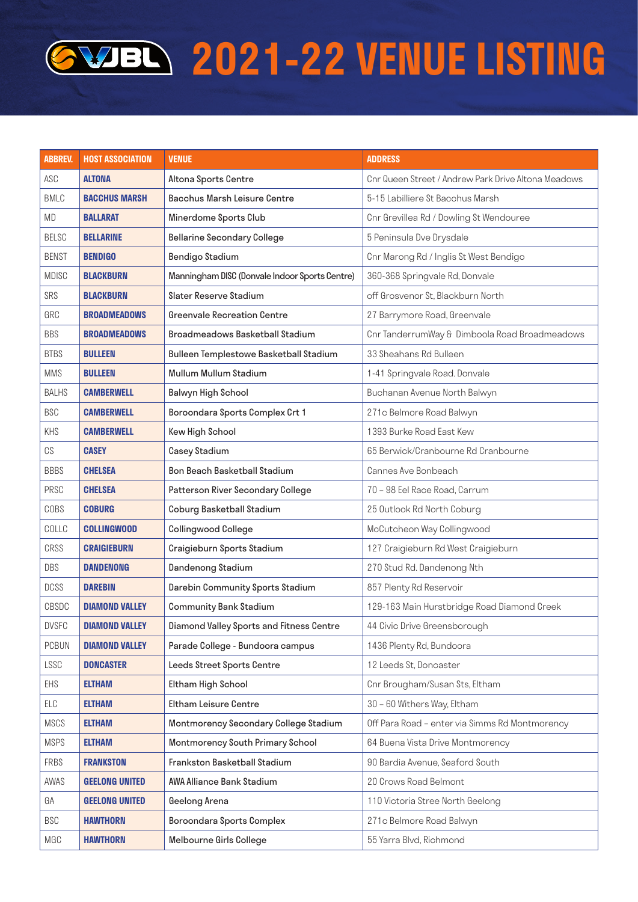## **2021-22 VENUE LISTING**

| <b>ABBREV.</b> | <b>HOST ASSOCIATION</b> | <b>VENUE</b>                                   | <b>ADDRESS</b>                                      |
|----------------|-------------------------|------------------------------------------------|-----------------------------------------------------|
| ASC            | <b>ALTONA</b>           | Altona Sports Centre                           | Cnr Queen Street / Andrew Park Drive Altona Meadows |
| <b>BMLC</b>    | <b>BACCHUS MARSH</b>    | Bacchus Marsh Leisure Centre                   | 5-15 Labilliere St Bacchus Marsh                    |
| MD             | <b>BALLARAT</b>         | Minerdome Sports Club                          | Cnr Grevillea Rd / Dowling St Wendouree             |
| <b>BELSC</b>   | <b>BELLARINE</b>        | <b>Bellarine Secondary College</b>             | 5 Peninsula Dve Drysdale                            |
| <b>BENST</b>   | <b>BENDIGO</b>          | Bendigo Stadium                                | Cnr Marong Rd / Inglis St West Bendigo              |
| <b>MDISC</b>   | <b>BLACKBURN</b>        | Manningham DISC (Donvale Indoor Sports Centre) | 360-368 Springvale Rd, Donvale                      |
| SRS            | <b>BLACKBURN</b>        | Slater Reserve Stadium                         | off Grosvenor St, Blackburn North                   |
| GRC            | <b>BROADMEADOWS</b>     | <b>Greenvale Recreation Centre</b>             | 27 Barrymore Road, Greenvale                        |
| <b>BBS</b>     | <b>BROADMEADOWS</b>     | Broadmeadows Basketball Stadium                | Cnr TanderrumWay & Dimboola Road Broadmeadows       |
| <b>BTBS</b>    | <b>BULLEEN</b>          | Bulleen Templestowe Basketball Stadium         | 33 Sheahans Rd Bulleen                              |
| <b>MMS</b>     | <b>BULLEEN</b>          | <b>Mullum Mullum Stadium</b>                   | 1-41 Springvale Road. Donvale                       |
| <b>BALHS</b>   | <b>CAMBERWELL</b>       | Balwyn High School                             | Buchanan Avenue North Balwyn                        |
| <b>BSC</b>     | <b>CAMBERWELL</b>       | Boroondara Sports Complex Crt 1                | 271c Belmore Road Balwyn                            |
| KHS            | <b>CAMBERWELL</b>       | Kew High School                                | 1393 Burke Road East Kew                            |
| CS             | <b>CASEY</b>            | Casey Stadium                                  | 65 Berwick/Cranbourne Rd Cranbourne                 |
| <b>BBBS</b>    | <b>CHELSEA</b>          | Bon Beach Basketball Stadium                   | Cannes Ave Bonbeach                                 |
| PRSC           | <b>CHELSEA</b>          | Patterson River Secondary College              | 70 - 98 Eel Race Road, Carrum                       |
| COBS           | <b>COBURG</b>           | Coburg Basketball Stadium                      | 25 Outlook Rd North Coburg                          |
| COLLC          | <b>COLLINGWOOD</b>      | <b>Collingwood College</b>                     | McCutcheon Way Collingwood                          |
| CRSS           | <b>CRAIGIEBURN</b>      | Craigieburn Sports Stadium                     | 127 Craigieburn Rd West Craigieburn                 |
| DBS            | <b>DANDENONG</b>        | <b>Dandenong Stadium</b>                       | 270 Stud Rd. Dandenong Nth                          |
| <b>DCSS</b>    | <b>DAREBIN</b>          | Darebin Community Sports Stadium               | 857 Plenty Rd Reservoir                             |
| CBSDC          | <b>DIAMOND VALLEY</b>   | <b>Community Bank Stadium</b>                  | 129-163 Main Hurstbridge Road Diamond Creek         |
| <b>DVSFC</b>   | <b>DIAMOND VALLEY</b>   | Diamond Valley Sports and Fitness Centre       | 44 Civic Drive Greensborough                        |
| <b>PCBUN</b>   | <b>DIAMOND VALLEY</b>   | Parade College - Bundoora campus               | 1436 Plenty Rd, Bundoora                            |
| LSSC           | <b>DONCASTER</b>        | Leeds Street Sports Centre                     | 12 Leeds St, Doncaster                              |
| EHS            | <b>ELTHAM</b>           | Eltham High School                             | Cnr Brougham/Susan Sts, Eltham                      |
| ELC            | <b>ELTHAM</b>           | Eltham Leisure Centre                          | 30 - 60 Withers Way, Eltham                         |
| <b>MSCS</b>    | <b>ELTHAM</b>           | Montmorency Secondary College Stadium          | Off Para Road - enter via Simms Rd Montmorency      |
| <b>MSPS</b>    | <b>ELTHAM</b>           | Montmorency South Primary School               | 64 Buena Vista Drive Montmorency                    |
| <b>FRBS</b>    | <b>FRANKSTON</b>        | Frankston Basketball Stadium                   | 90 Bardia Avenue, Seaford South                     |
| AWAS           | <b>GEELONG UNITED</b>   | AWA Alliance Bank Stadium                      | 20 Crows Road Belmont                               |
| GA             | <b>GEELONG UNITED</b>   | Geelong Arena                                  | 110 Victoria Stree North Geelong                    |
| <b>BSC</b>     | <b>HAWTHORN</b>         | Boroondara Sports Complex                      | 271c Belmore Road Balwyn                            |
| MGC            | <b>HAWTHORN</b>         | Melbourne Girls College                        | 55 Yarra Blvd, Richmond                             |